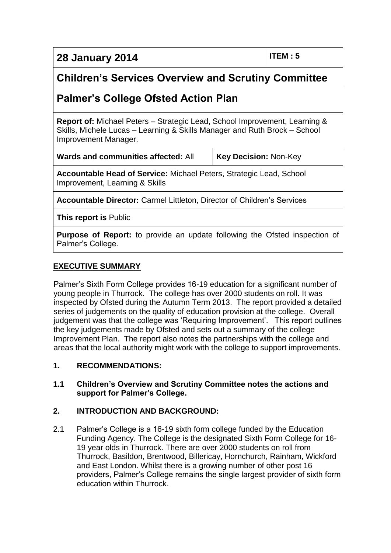**28 January 2014 ITEM : 5**

# **Children's Services Overview and Scrutiny Committee**

# **Palmer's College Ofsted Action Plan**

**Report of:** Michael Peters – Strategic Lead, School Improvement, Learning & Skills, Michele Lucas – Learning & Skills Manager and Ruth Brock – School Improvement Manager.

**Key Decision: Non-Key** 

**Accountable Head of Service:** Michael Peters, Strategic Lead, School Improvement, Learning & Skills

**Accountable Director:** Carmel Littleton, Director of Children's Services

**This report is** Public

**Purpose of Report:** to provide an update following the Ofsted inspection of Palmer's College.

## **EXECUTIVE SUMMARY**

Palmer's Sixth Form College provides 16-19 education for a significant number of young people in Thurrock. The college has over 2000 students on roll. It was inspected by Ofsted during the Autumn Term 2013. The report provided a detailed series of judgements on the quality of education provision at the college. Overall judgement was that the college was 'Requiring Improvement'. This report outlines the key judgements made by Ofsted and sets out a summary of the college Improvement Plan. The report also notes the partnerships with the college and areas that the local authority might work with the college to support improvements.

#### **1. RECOMMENDATIONS:**

**1.1 Children's Overview and Scrutiny Committee notes the actions and support for Palmer's College.**

## **2. INTRODUCTION AND BACKGROUND:**

2.1 Palmer's College is a 16-19 sixth form college funded by the Education Funding Agency. The College is the designated Sixth Form College for 16- 19 year olds in Thurrock. There are over 2000 students on roll from Thurrock, Basildon, Brentwood, Billericay, Hornchurch, Rainham, Wickford and East London. Whilst there is a growing number of other post 16 providers, Palmer's College remains the single largest provider of sixth form education within Thurrock.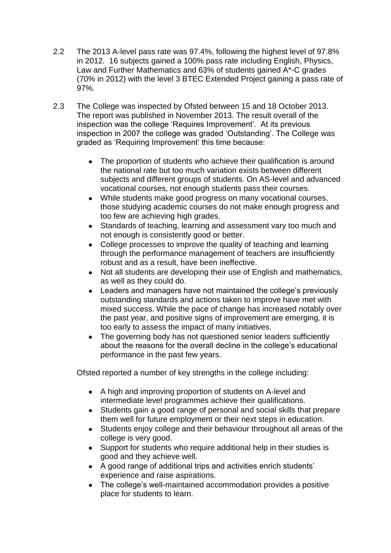- 2.2 The 2013 A-level pass rate was 97.4%, following the highest level of 97.8% in 2012. 16 subjects gained a 100% pass rate including English, Physics, Law and Further Mathematics and 63% of students gained A\*-C grades (70% in 2012) with the level 3 BTEC Extended Project gaining a pass rate of 97%.
- 2.3 The College was inspected by Ofsted between 15 and 18 October 2013. The report was published in November 2013. The result overall of the inspection was the college 'Requires Improvement'. At its previous inspection in 2007 the college was graded 'Outstanding'. The College was graded as 'Requiring Improvement' this time because:
	- The proportion of students who achieve their qualification is around  $\bullet$ the national rate but too much variation exists between different subjects and different groups of students. On AS-level and advanced vocational courses, not enough students pass their courses.
	- While students make good progress on many vocational courses, those studying academic courses do not make enough progress and too few are achieving high grades.
	- Standards of teaching, learning and assessment vary too much and not enough is consistently good or better.
	- College processes to improve the quality of teaching and learning through the performance management of teachers are insufficiently robust and as a result, have been ineffective.
	- Not all students are developing their use of English and mathematics, as well as they could do.
	- Leaders and managers have not maintained the college's previously outstanding standards and actions taken to improve have met with mixed success. While the pace of change has increased notably over the past year, and positive signs of improvement are emerging, it is too early to assess the impact of many initiatives.
	- The governing body has not questioned senior leaders sufficiently about the reasons for the overall decline in the college's educational performance in the past few years.

Ofsted reported a number of key strengths in the college including:

- A high and improving proportion of students on A-level and intermediate level programmes achieve their qualifications.
- Students gain a good range of personal and social skills that prepare them well for future employment or their next steps in education.
- Students enjoy college and their behaviour throughout all areas of the college is very good.
- Support for students who require additional help in their studies is good and they achieve well.
- A good range of additional trips and activities enrich students' experience and raise aspirations.
- The college's well-maintained accommodation provides a positive place for students to learn.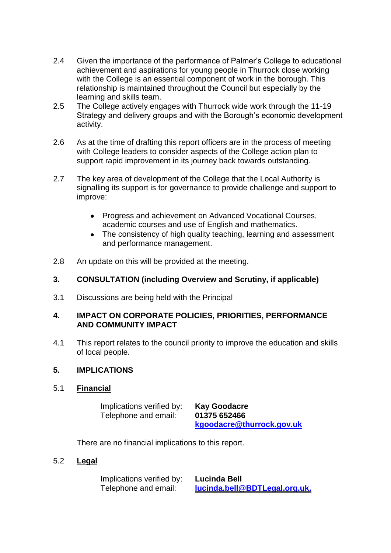- 2.4 Given the importance of the performance of Palmer's College to educational achievement and aspirations for young people in Thurrock close working with the College is an essential component of work in the borough. This relationship is maintained throughout the Council but especially by the learning and skills team.
- 2.5 The College actively engages with Thurrock wide work through the 11-19 Strategy and delivery groups and with the Borough's economic development activity.
- 2.6 As at the time of drafting this report officers are in the process of meeting with College leaders to consider aspects of the College action plan to support rapid improvement in its journey back towards outstanding.
- 2.7 The key area of development of the College that the Local Authority is signalling its support is for governance to provide challenge and support to improve:
	- Progress and achievement on Advanced Vocational Courses, academic courses and use of English and mathematics.
	- The consistency of high quality teaching, learning and assessment  $\bullet$ and performance management.
- 2.8 An update on this will be provided at the meeting.

### **3. CONSULTATION (including Overview and Scrutiny, if applicable)**

3.1 Discussions are being held with the Principal

#### **4. IMPACT ON CORPORATE POLICIES, PRIORITIES, PERFORMANCE AND COMMUNITY IMPACT**

4.1 This report relates to the council priority to improve the education and skills of local people.

#### **5. IMPLICATIONS**

5.1 **Financial**

Implications verified by: **Kay Goodacre** Telephone and email: **01375 652466**

**[kgoodacre@thurrock.gov.uk](mailto:kgoodacre@thurrock.gov.uk)**

There are no financial implications to this report.

5.2 **Legal**

Implications verified by: **Lucinda Bell** Telephone and email: **[lucinda.bell@BDTLegal.org.uk.](mailto:lucinda.bell@BDTLegal.org.uk)**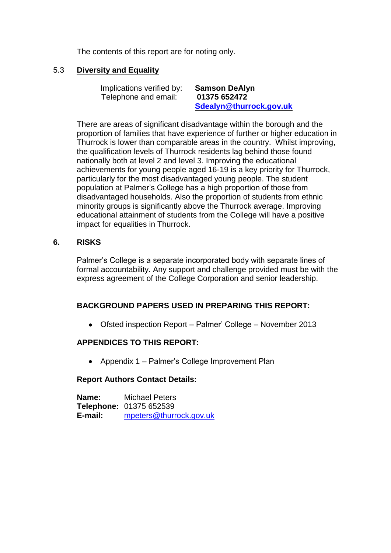The contents of this report are for noting only.

#### 5.3 **Diversity and Equality**

Implications verified by: **Samson DeAlyn** Telephone and email: **01375 652472 [Sdealyn@thurrock.gov.uk](mailto:Sdealyn@thurrock.gov.uk)**

There are areas of significant disadvantage within the borough and the proportion of families that have experience of further or higher education in Thurrock is lower than comparable areas in the country. Whilst improving, the qualification levels of Thurrock residents lag behind those found nationally both at level 2 and level 3. Improving the educational achievements for young people aged 16-19 is a key priority for Thurrock, particularly for the most disadvantaged young people. The student population at Palmer's College has a high proportion of those from disadvantaged households. Also the proportion of students from ethnic minority groups is significantly above the Thurrock average. Improving educational attainment of students from the College will have a positive impact for equalities in Thurrock.

#### **6. RISKS**

Palmer's College is a separate incorporated body with separate lines of formal accountability. Any support and challenge provided must be with the express agreement of the College Corporation and senior leadership.

#### **BACKGROUND PAPERS USED IN PREPARING THIS REPORT:**

Ofsted inspection Report – Palmer' College – November 2013

#### **APPENDICES TO THIS REPORT:**

• Appendix 1 – Palmer's College Improvement Plan

#### **Report Authors Contact Details:**

**Name:** Michael Peters **Telephone:** 01375 652539 **E-mail:** [mpeters@thurrock.gov.uk](mailto:mpeters@thurrock.gov.uk)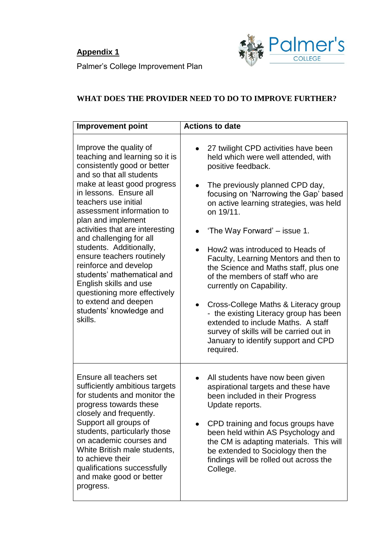# **Appendix 1**



Palmer's College Improvement Plan

# **WHAT DOES THE PROVIDER NEED TO DO TO IMPROVE FURTHER?**

| <b>Improvement point</b>                                                                                                                                                                                                                                                                                                                                                                                                                                                                                                                                     | <b>Actions to date</b>                                                                                                                                                                                                                                                                                                                                                                                                                                                                                                                                                                                                                                                                        |
|--------------------------------------------------------------------------------------------------------------------------------------------------------------------------------------------------------------------------------------------------------------------------------------------------------------------------------------------------------------------------------------------------------------------------------------------------------------------------------------------------------------------------------------------------------------|-----------------------------------------------------------------------------------------------------------------------------------------------------------------------------------------------------------------------------------------------------------------------------------------------------------------------------------------------------------------------------------------------------------------------------------------------------------------------------------------------------------------------------------------------------------------------------------------------------------------------------------------------------------------------------------------------|
| Improve the quality of<br>teaching and learning so it is<br>consistently good or better<br>and so that all students<br>make at least good progress<br>in lessons. Ensure all<br>teachers use initial<br>assessment information to<br>plan and implement<br>activities that are interesting<br>and challenging for all<br>students. Additionally,<br>ensure teachers routinely<br>reinforce and develop<br>students' mathematical and<br>English skills and use<br>questioning more effectively<br>to extend and deepen<br>students' knowledge and<br>skills. | 27 twilight CPD activities have been<br>held which were well attended, with<br>positive feedback.<br>The previously planned CPD day,<br>focusing on 'Narrowing the Gap' based<br>on active learning strategies, was held<br>on 19/11.<br>'The Way Forward' – issue 1.<br>How2 was introduced to Heads of<br>Faculty, Learning Mentors and then to<br>the Science and Maths staff, plus one<br>of the members of staff who are<br>currently on Capability.<br>Cross-College Maths & Literacy group<br>$\bullet$<br>- the existing Literacy group has been<br>extended to include Maths. A staff<br>survey of skills will be carried out in<br>January to identify support and CPD<br>required. |
| Ensure all teachers set<br>sufficiently ambitious targets<br>for students and monitor the<br>progress towards these<br>closely and frequently.<br>Support all groups of<br>students, particularly those<br>on academic courses and<br>White British male students,<br>to achieve their<br>qualifications successfully<br>and make good or better<br>progress.                                                                                                                                                                                                | All students have now been given<br>aspirational targets and these have<br>been included in their Progress<br>Update reports.<br>CPD training and focus groups have<br>been held within AS Psychology and<br>the CM is adapting materials. This will<br>be extended to Sociology then the<br>findings will be rolled out across the<br>College.                                                                                                                                                                                                                                                                                                                                               |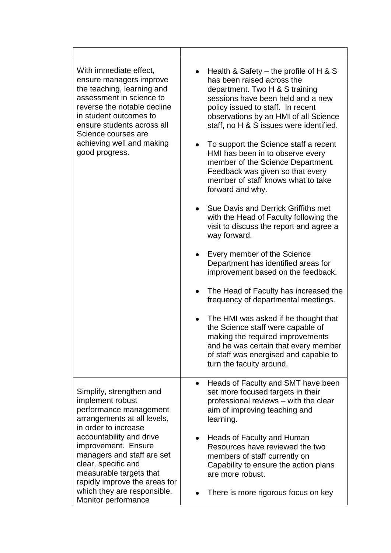| With immediate effect,<br>ensure managers improve<br>the teaching, learning and<br>assessment in science to<br>reverse the notable decline<br>in student outcomes to<br>ensure students across all<br>Science courses are<br>achieving well and making<br>good progress.                          | Health & Safety – the profile of H & S<br>$\bullet$<br>has been raised across the<br>department. Two H & S training<br>sessions have been held and a new<br>policy issued to staff. In recent<br>observations by an HMI of all Science<br>staff, no H & S issues were identified.<br>To support the Science staff a recent<br>$\bullet$<br>HMI has been in to observe every<br>member of the Science Department.<br>Feedback was given so that every<br>member of staff knows what to take<br>forward and why.<br>Sue Davis and Derrick Griffiths met<br>$\bullet$<br>with the Head of Faculty following the<br>visit to discuss the report and agree a<br>way forward.<br>Every member of the Science<br>Department has identified areas for<br>improvement based on the feedback.<br>The Head of Faculty has increased the<br>frequency of departmental meetings.<br>The HMI was asked if he thought that<br>the Science staff were capable of<br>making the required improvements<br>and he was certain that every member<br>of staff was energised and capable to<br>turn the faculty around. |
|---------------------------------------------------------------------------------------------------------------------------------------------------------------------------------------------------------------------------------------------------------------------------------------------------|---------------------------------------------------------------------------------------------------------------------------------------------------------------------------------------------------------------------------------------------------------------------------------------------------------------------------------------------------------------------------------------------------------------------------------------------------------------------------------------------------------------------------------------------------------------------------------------------------------------------------------------------------------------------------------------------------------------------------------------------------------------------------------------------------------------------------------------------------------------------------------------------------------------------------------------------------------------------------------------------------------------------------------------------------------------------------------------------------|
| Simplify, strengthen and<br>implement robust<br>performance management<br>arrangements at all levels,<br>in order to increase<br>accountability and drive<br>improvement. Ensure<br>managers and staff are set<br>clear, specific and<br>measurable targets that<br>rapidly improve the areas for | Heads of Faculty and SMT have been<br>set more focused targets in their<br>professional reviews - with the clear<br>aim of improving teaching and<br>learning.                                                                                                                                                                                                                                                                                                                                                                                                                                                                                                                                                                                                                                                                                                                                                                                                                                                                                                                                    |
|                                                                                                                                                                                                                                                                                                   | Heads of Faculty and Human<br>Resources have reviewed the two<br>members of staff currently on<br>Capability to ensure the action plans<br>are more robust.                                                                                                                                                                                                                                                                                                                                                                                                                                                                                                                                                                                                                                                                                                                                                                                                                                                                                                                                       |
| which they are responsible.<br>Monitor performance                                                                                                                                                                                                                                                | There is more rigorous focus on key                                                                                                                                                                                                                                                                                                                                                                                                                                                                                                                                                                                                                                                                                                                                                                                                                                                                                                                                                                                                                                                               |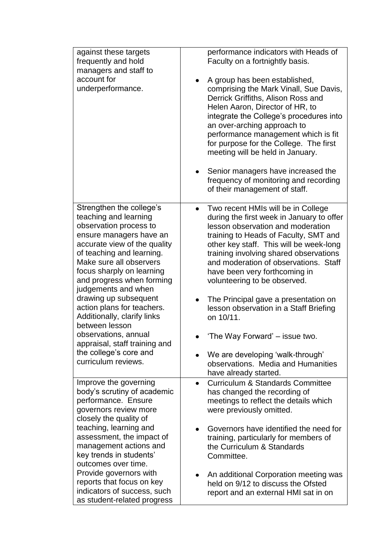| against these targets<br>frequently and hold<br>managers and staff to<br>account for<br>underperformance.                                                                                                                                                                                                | performance indicators with Heads of<br>Faculty on a fortnightly basis.<br>A group has been established,<br>comprising the Mark Vinall, Sue Davis,<br>Derrick Griffiths, Alison Ross and<br>Helen Aaron, Director of HR, to<br>integrate the College's procedures into<br>an over-arching approach to<br>performance management which is fit<br>for purpose for the College. The first<br>meeting will be held in January.<br>Senior managers have increased the<br>frequency of monitoring and recording |
|----------------------------------------------------------------------------------------------------------------------------------------------------------------------------------------------------------------------------------------------------------------------------------------------------------|-----------------------------------------------------------------------------------------------------------------------------------------------------------------------------------------------------------------------------------------------------------------------------------------------------------------------------------------------------------------------------------------------------------------------------------------------------------------------------------------------------------|
|                                                                                                                                                                                                                                                                                                          | of their management of staff.                                                                                                                                                                                                                                                                                                                                                                                                                                                                             |
| Strengthen the college's<br>teaching and learning<br>observation process to<br>ensure managers have an<br>accurate view of the quality<br>of teaching and learning.<br>Make sure all observers<br>focus sharply on learning<br>and progress when forming<br>judgements and when<br>drawing up subsequent | Two recent HMIs will be in College<br>during the first week in January to offer<br>lesson observation and moderation<br>training to Heads of Faculty, SMT and<br>other key staff. This will be week-long<br>training involving shared observations<br>and moderation of observations. Staff<br>have been very forthcoming in<br>volunteering to be observed.<br>The Principal gave a presentation on                                                                                                      |
| action plans for teachers.<br>Additionally, clarify links<br>between lesson                                                                                                                                                                                                                              | lesson observation in a Staff Briefing<br>on 10/11.                                                                                                                                                                                                                                                                                                                                                                                                                                                       |
| observations, annual<br>appraisal, staff training and                                                                                                                                                                                                                                                    | 'The Way Forward' – issue two.                                                                                                                                                                                                                                                                                                                                                                                                                                                                            |
| the college's core and<br>curriculum reviews.                                                                                                                                                                                                                                                            | We are developing 'walk-through'<br>observations. Media and Humanities<br>have already started.                                                                                                                                                                                                                                                                                                                                                                                                           |
| Improve the governing<br>body's scrutiny of academic<br>performance. Ensure<br>governors review more<br>closely the quality of                                                                                                                                                                           | <b>Curriculum &amp; Standards Committee</b><br>$\bullet$<br>has changed the recording of<br>meetings to reflect the details which<br>were previously omitted.                                                                                                                                                                                                                                                                                                                                             |
| teaching, learning and<br>assessment, the impact of<br>management actions and<br>key trends in students'<br>outcomes over time.                                                                                                                                                                          | Governors have identified the need for<br>training, particularly for members of<br>the Curriculum & Standards<br>Committee.                                                                                                                                                                                                                                                                                                                                                                               |
| Provide governors with<br>reports that focus on key<br>indicators of success, such<br>as student-related progress                                                                                                                                                                                        | An additional Corporation meeting was<br>held on 9/12 to discuss the Ofsted<br>report and an external HMI sat in on                                                                                                                                                                                                                                                                                                                                                                                       |